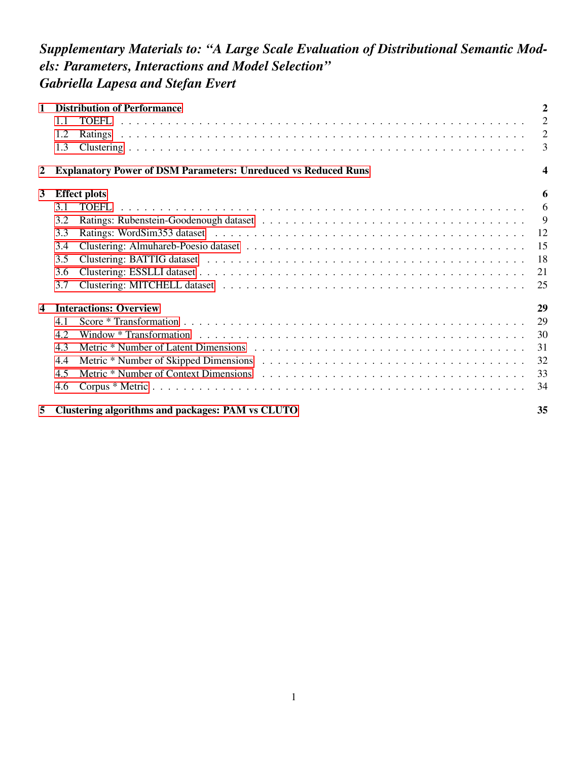## *Supplementary Materials to: "A Large Scale Evaluation of Distributional Semantic Models: Parameters, Interactions and Model Selection" Gabriella Lapesa and Stefan Evert*

| 1                |                               | <b>Distribution of Performance</b>                                    |    |  |  |  |
|------------------|-------------------------------|-----------------------------------------------------------------------|----|--|--|--|
|                  | 1.1                           | <b>TOEFL</b>                                                          | 2  |  |  |  |
|                  | 1.2                           |                                                                       | 2  |  |  |  |
|                  | 1.3                           |                                                                       | 3  |  |  |  |
| $\boldsymbol{2}$ |                               | <b>Explanatory Power of DSM Parameters: Unreduced vs Reduced Runs</b> | 4  |  |  |  |
| $\mathbf{3}$     | 6<br><b>Effect plots</b>      |                                                                       |    |  |  |  |
|                  | 3.1                           | TOEFL.                                                                | 6  |  |  |  |
|                  | 3.2                           |                                                                       | 9  |  |  |  |
|                  | 3.3                           |                                                                       | 12 |  |  |  |
|                  | 3.4                           |                                                                       | 15 |  |  |  |
|                  | 3.5                           |                                                                       | 18 |  |  |  |
|                  | 3.6                           |                                                                       | 21 |  |  |  |
|                  | 3.7                           |                                                                       | 25 |  |  |  |
| 4                | <b>Interactions: Overview</b> |                                                                       |    |  |  |  |
|                  | 4.1                           |                                                                       | 29 |  |  |  |
|                  | 4.2                           |                                                                       | 30 |  |  |  |
|                  | 4.3                           |                                                                       | 31 |  |  |  |
|                  | 4.4                           |                                                                       | 32 |  |  |  |
|                  | 4.5                           |                                                                       | 33 |  |  |  |
|                  | 4.6                           |                                                                       | 34 |  |  |  |
| 5                |                               | Clustering algorithms and packages: PAM vs CLUTO                      | 35 |  |  |  |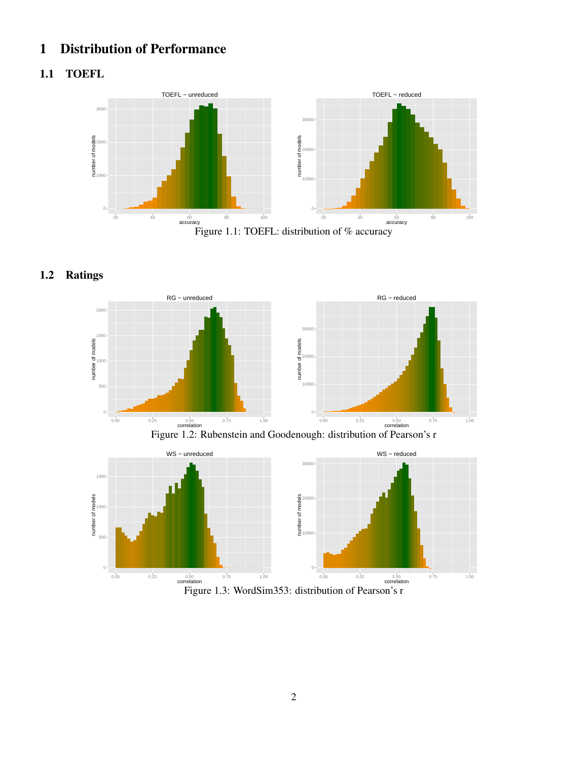## <span id="page-1-0"></span>1 Distribution of Performance

### <span id="page-1-1"></span>1.1 TOEFL





### <span id="page-1-2"></span>1.2 Ratings







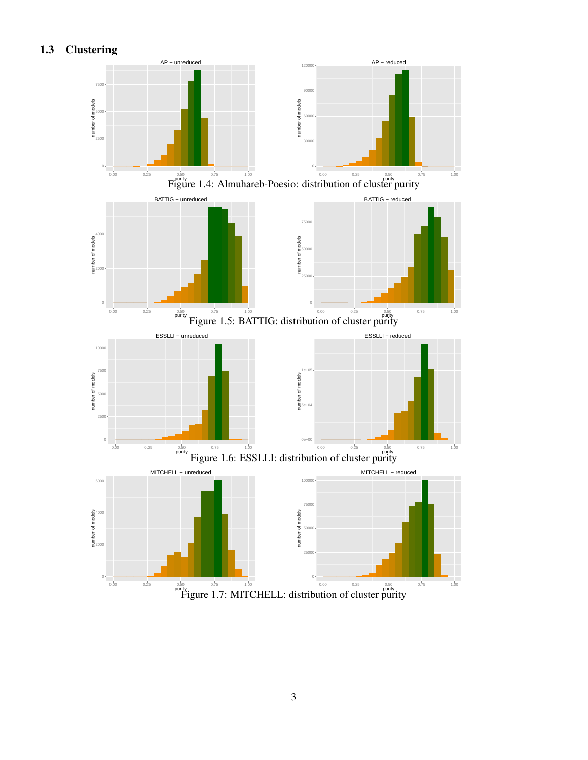<span id="page-2-0"></span>1.3 Clustering



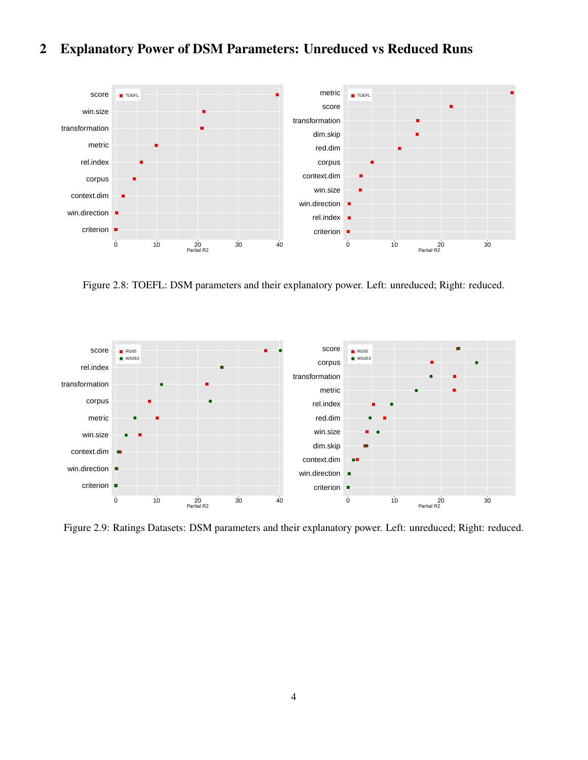## <span id="page-3-0"></span>2 Explanatory Power of DSM Parameters: Unreduced vs Reduced Runs



Figure 2.8: TOEFL: DSM parameters and their explanatory power. Left: unreduced; Right: reduced.



Figure 2.9: Ratings Datasets: DSM parameters and their explanatory power. Left: unreduced; Right: reduced.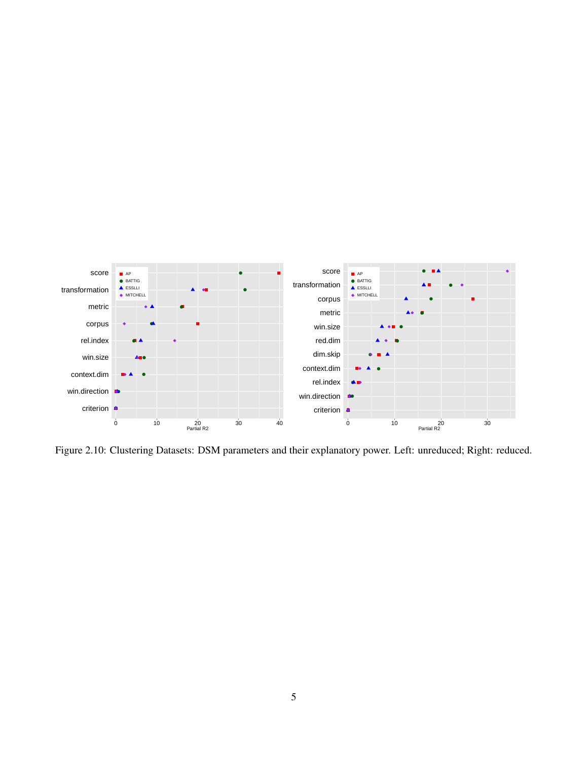

Figure 2.10: Clustering Datasets: DSM parameters and their explanatory power. Left: unreduced; Right: reduced.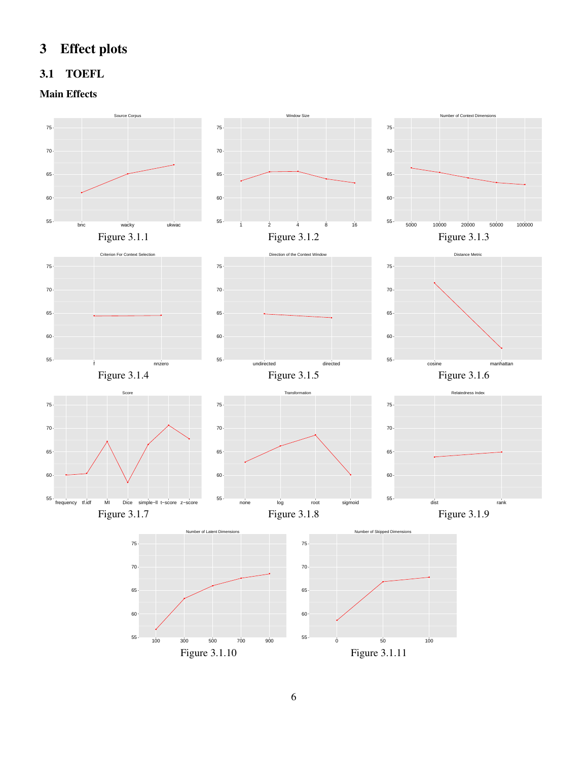# <span id="page-5-0"></span>3 Effect plots

#### <span id="page-5-1"></span>3.1 TOEFL

#### Main Effects

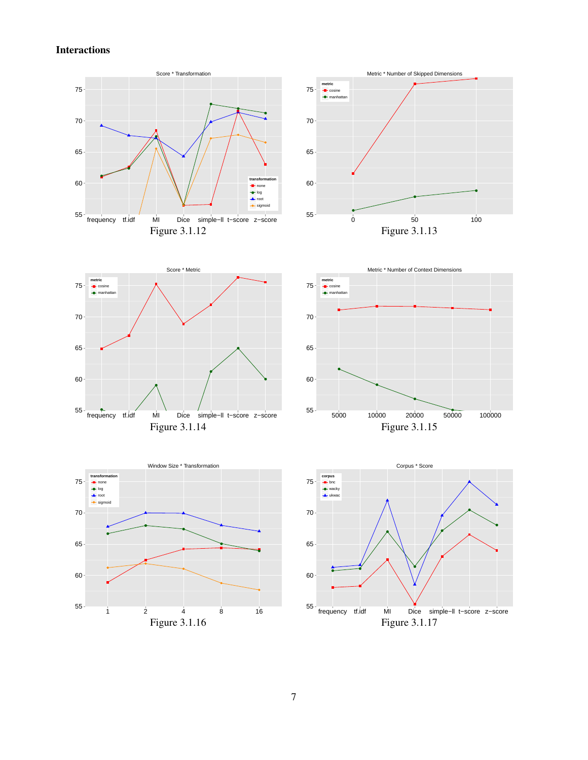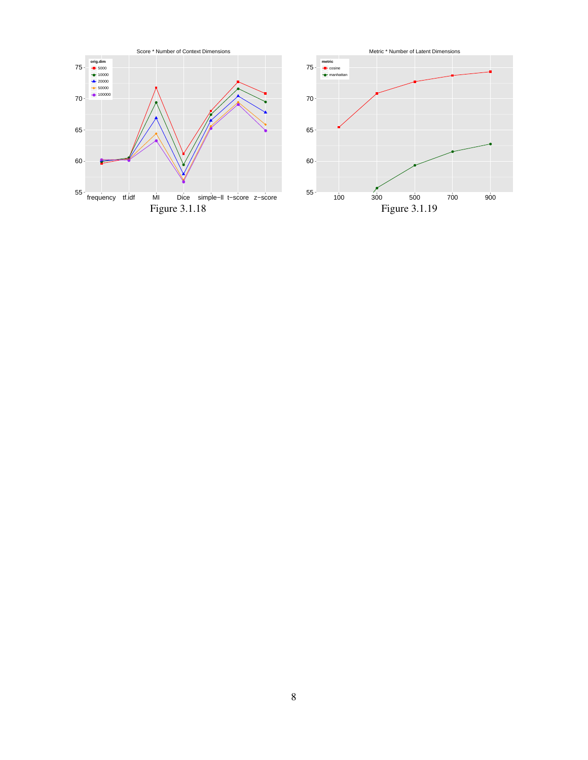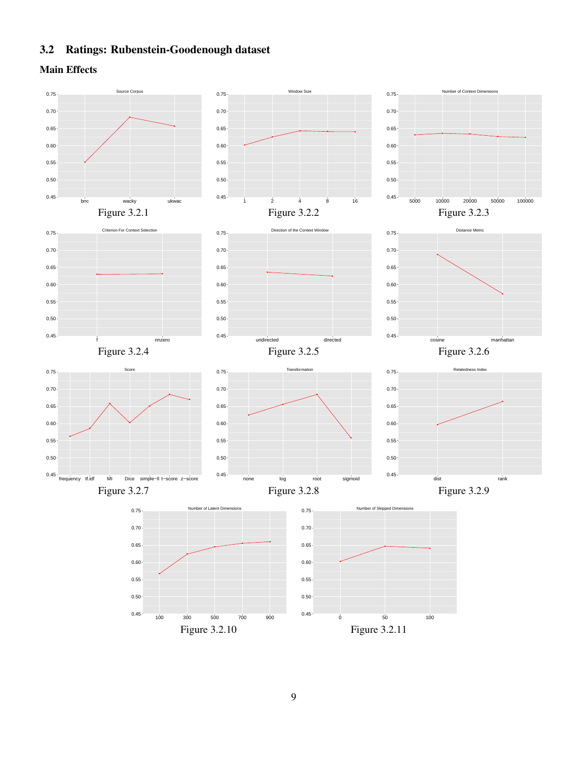#### <span id="page-8-0"></span>3.2 Ratings: Rubenstein-Goodenough dataset

Main Effects

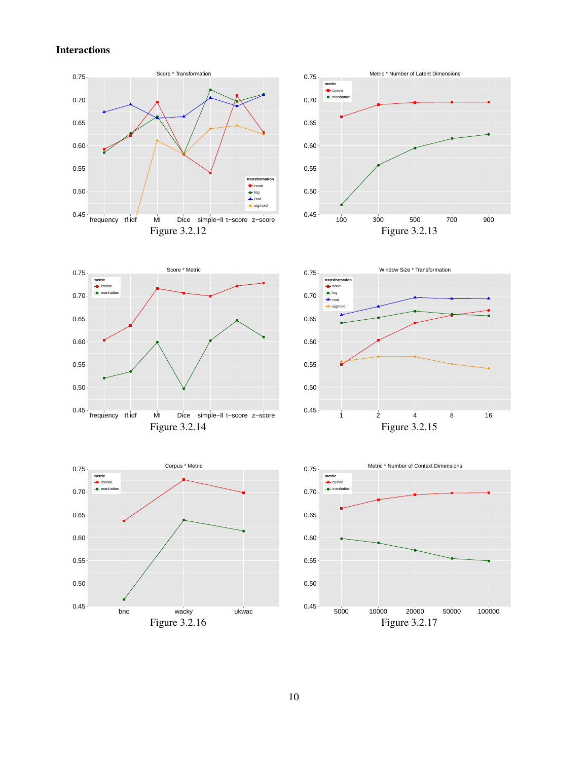









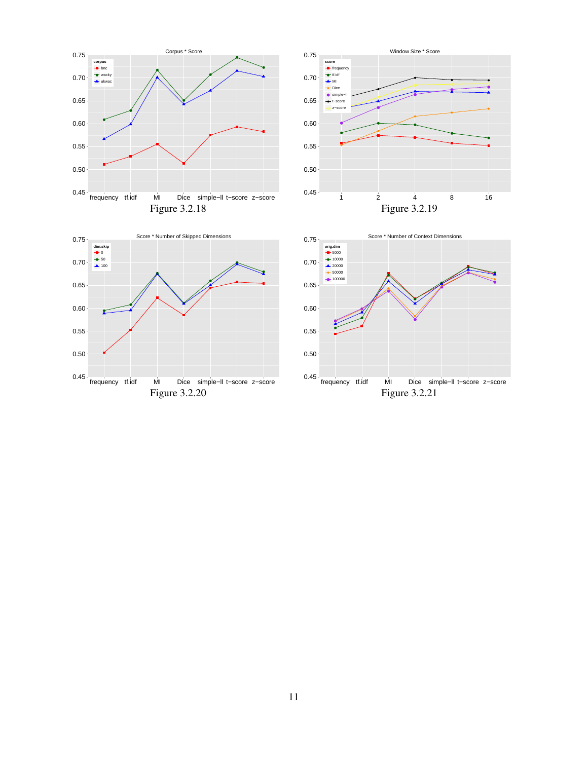





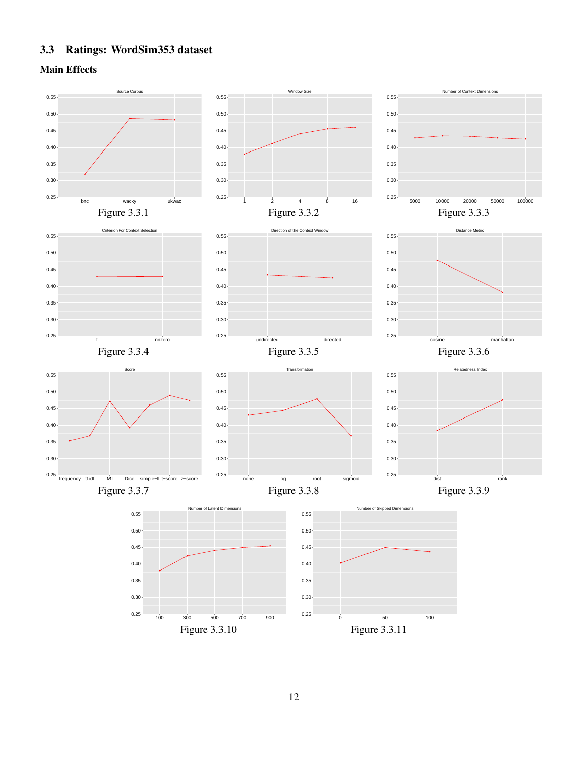#### <span id="page-11-0"></span>3.3 Ratings: WordSim353 dataset

Main Effects

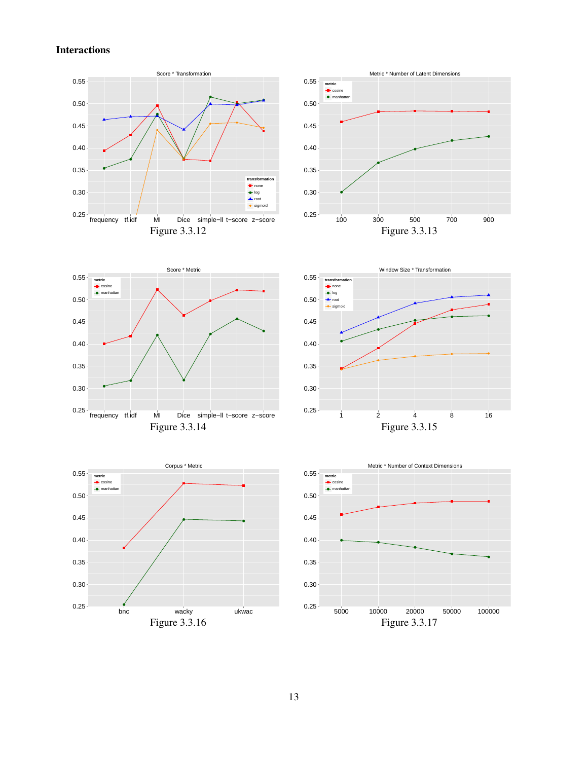









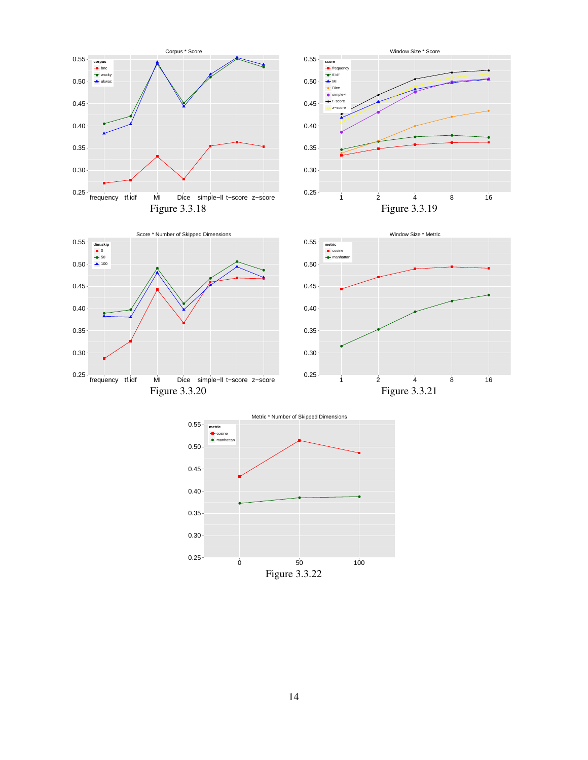









14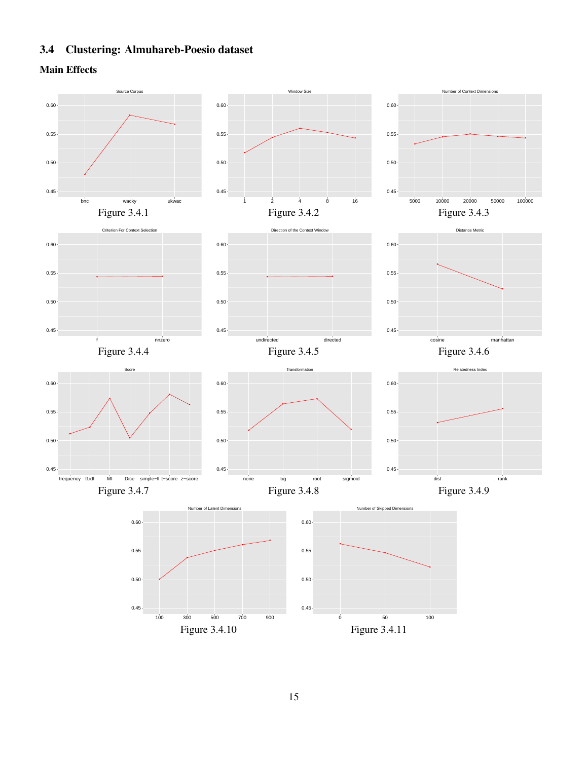### <span id="page-14-0"></span>3.4 Clustering: Almuhareb-Poesio dataset

Main Effects

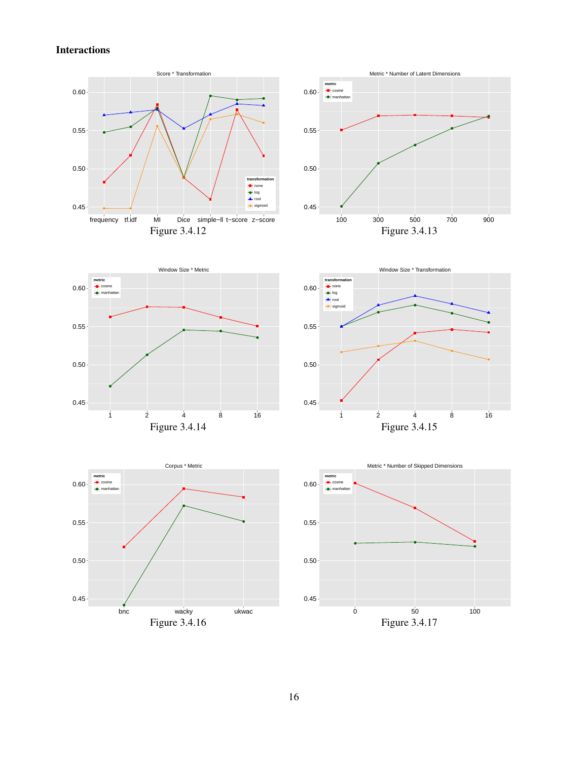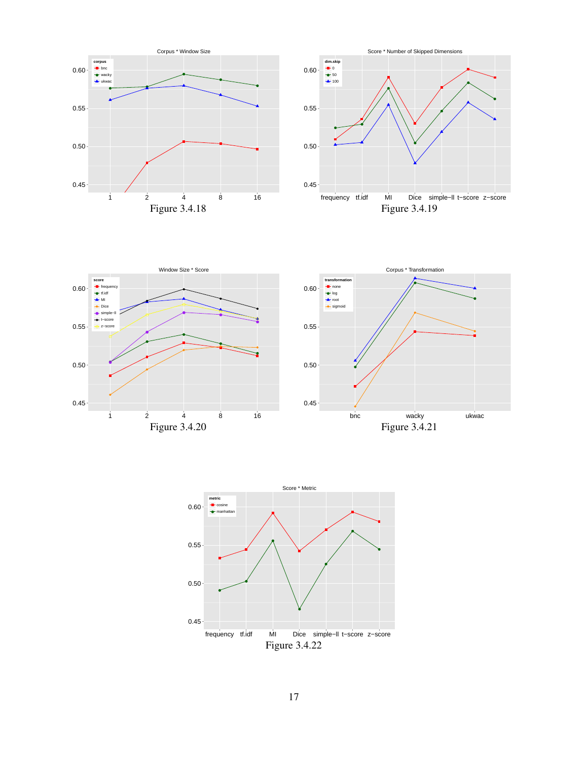





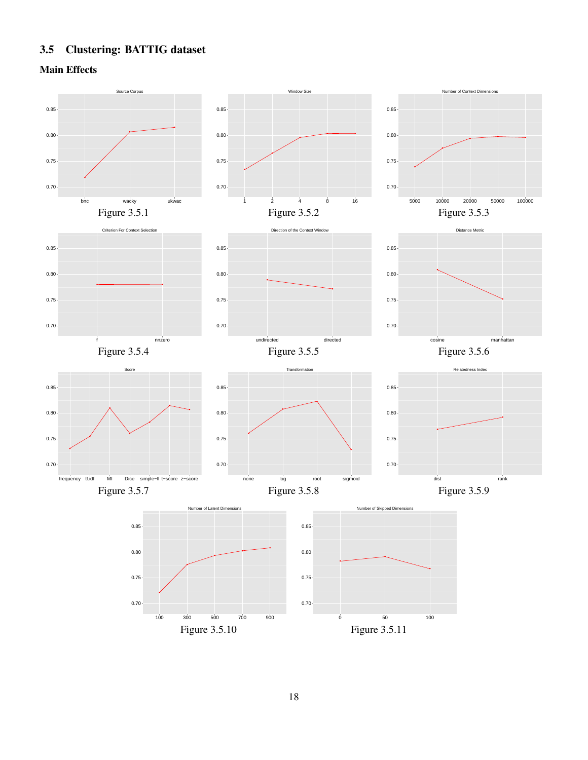## <span id="page-17-0"></span>3.5 Clustering: BATTIG dataset

Main Effects

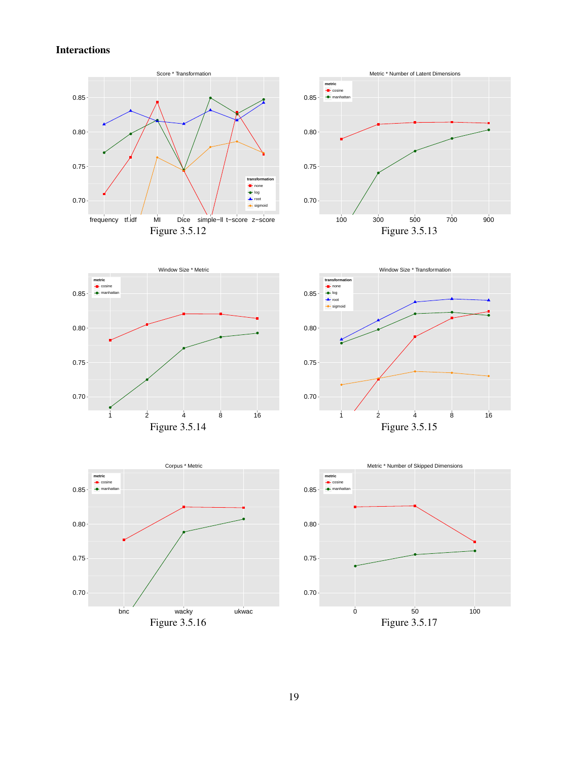









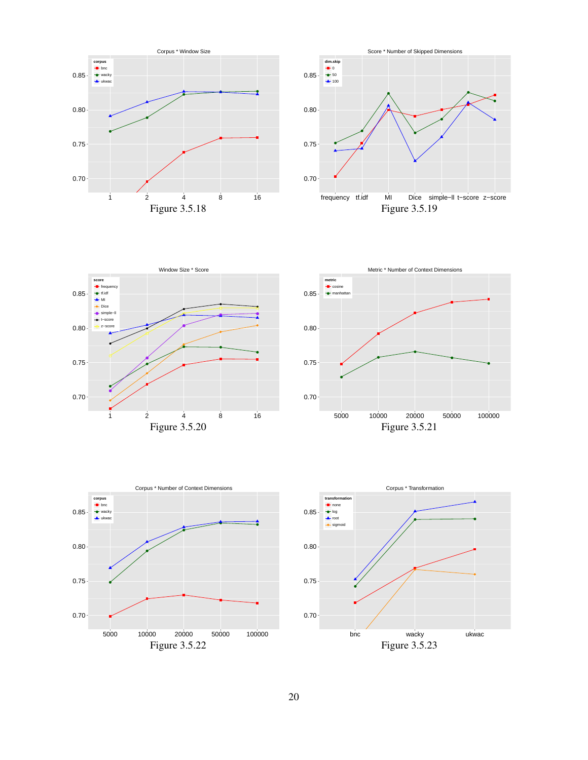









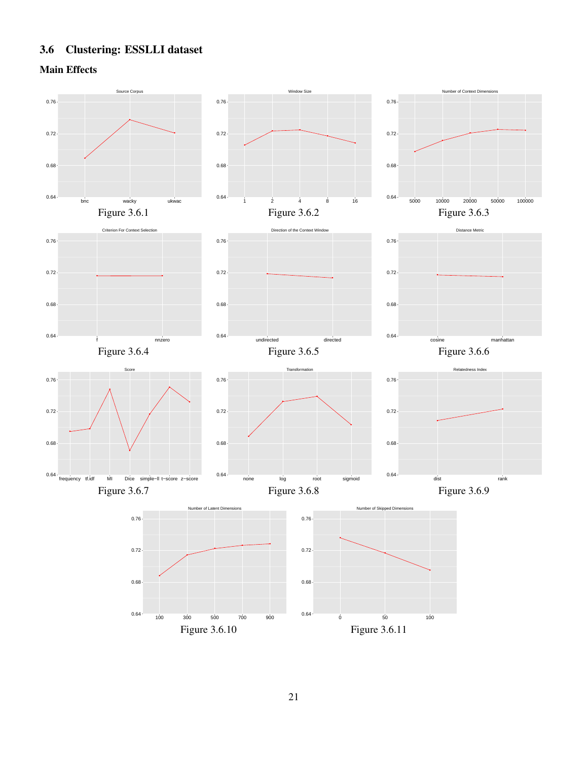### <span id="page-20-0"></span>3.6 Clustering: ESSLLI dataset

Main Effects

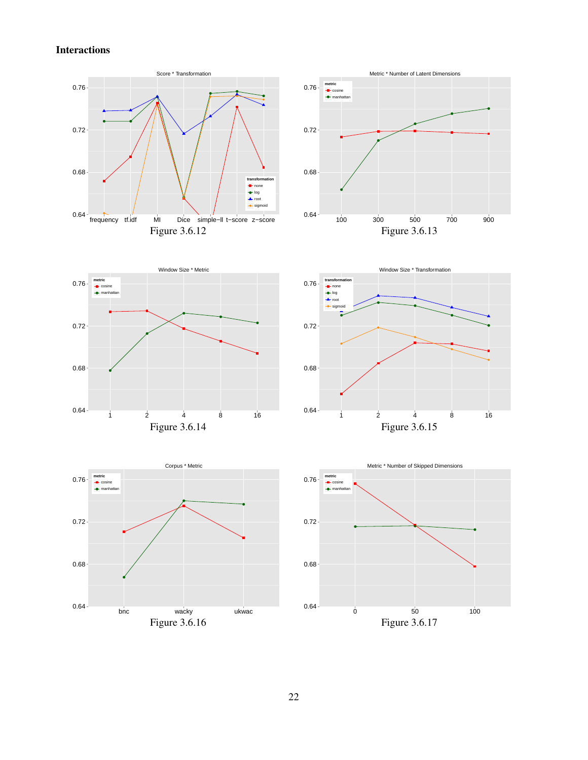Interactions











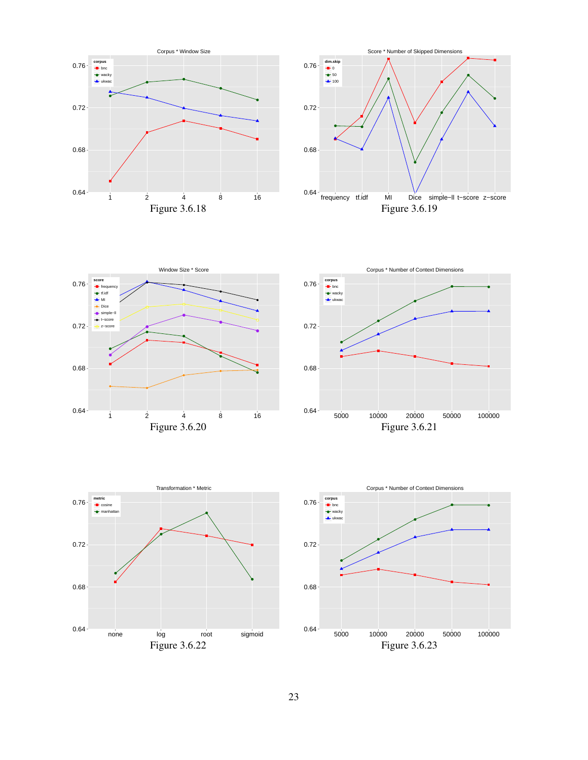









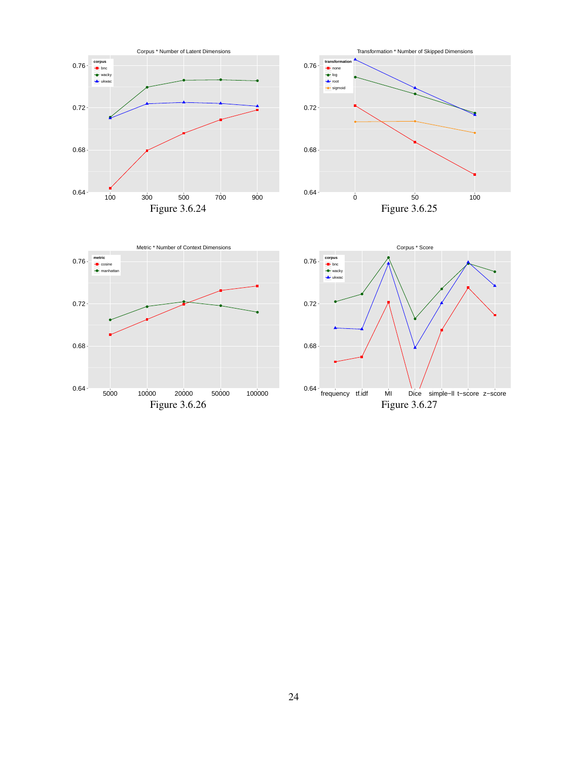

![](_page_23_Figure_1.jpeg)

![](_page_23_Figure_2.jpeg)

![](_page_23_Figure_3.jpeg)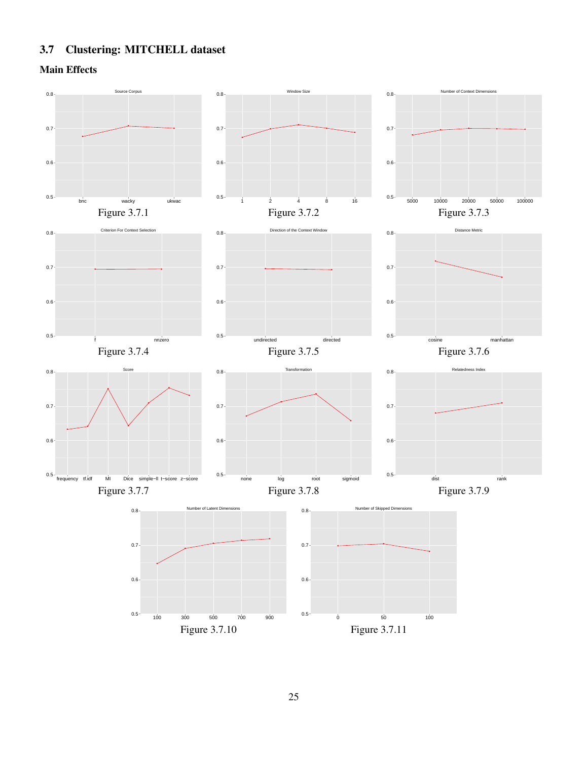## <span id="page-24-0"></span>3.7 Clustering: MITCHELL dataset

Main Effects

![](_page_24_Figure_2.jpeg)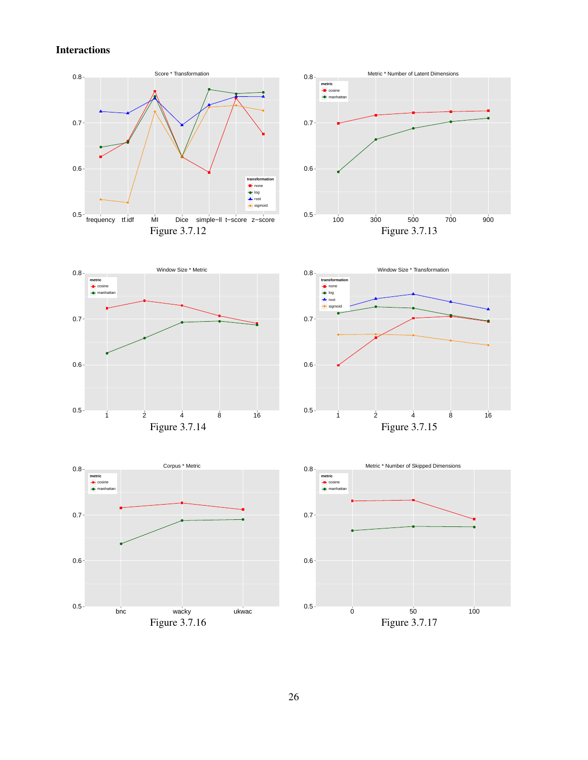![](_page_25_Figure_1.jpeg)

Figure 3.7.17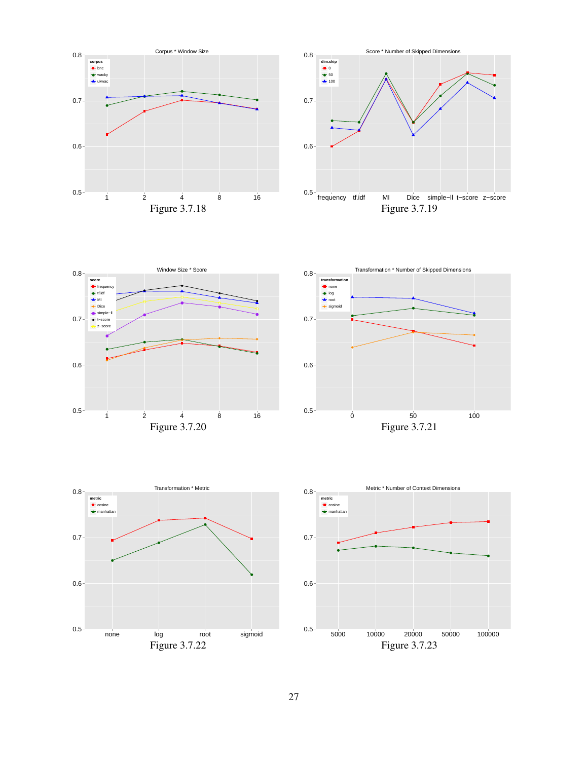![](_page_26_Figure_0.jpeg)

![](_page_26_Figure_1.jpeg)

![](_page_26_Figure_2.jpeg)

![](_page_26_Figure_3.jpeg)

![](_page_26_Figure_4.jpeg)

![](_page_26_Figure_5.jpeg)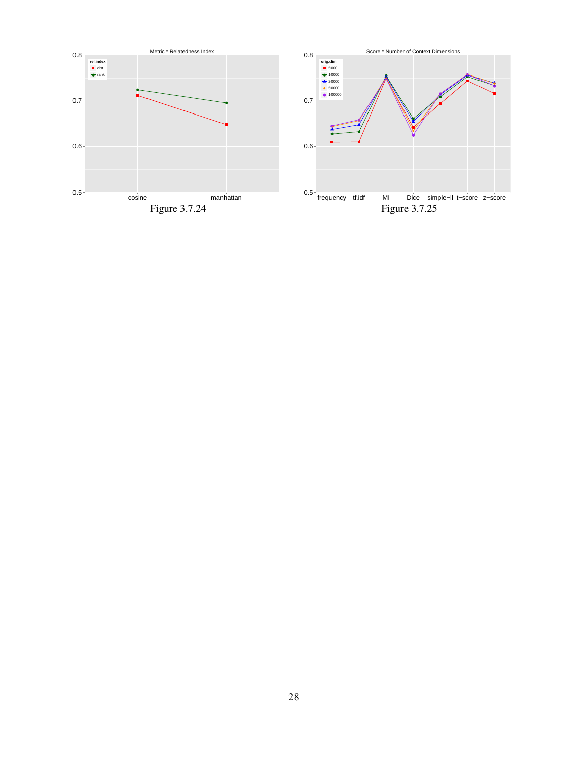![](_page_27_Figure_0.jpeg)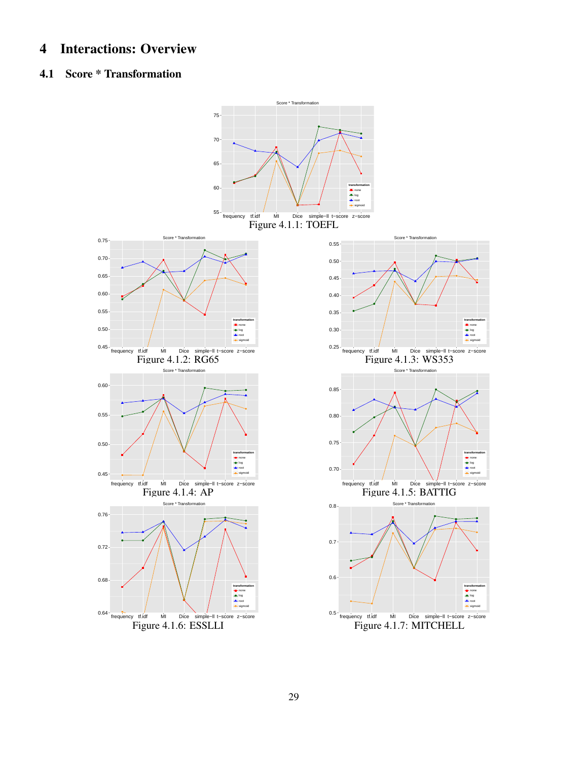### <span id="page-28-0"></span>4 Interactions: Overview

#### <span id="page-28-1"></span>4.1 Score \* Transformation

![](_page_28_Figure_2.jpeg)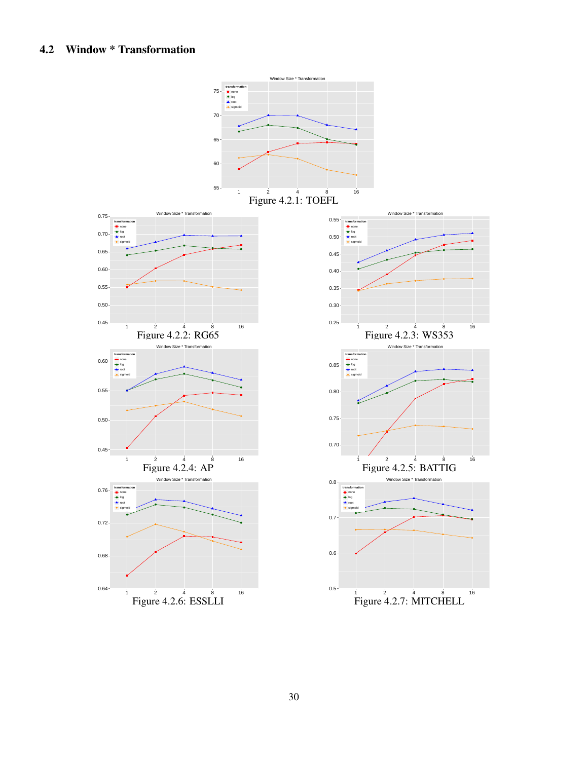<span id="page-29-0"></span>![](_page_29_Figure_1.jpeg)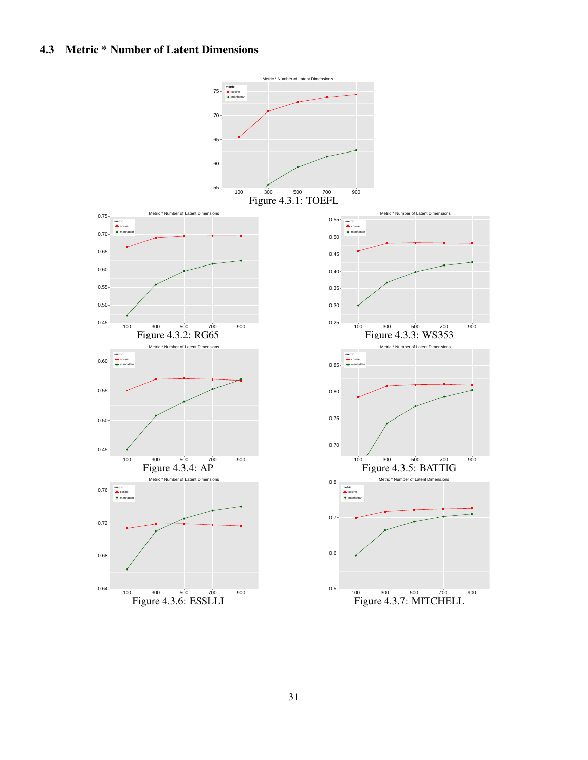### <span id="page-30-0"></span>4.3 Metric \* Number of Latent Dimensions

![](_page_30_Figure_1.jpeg)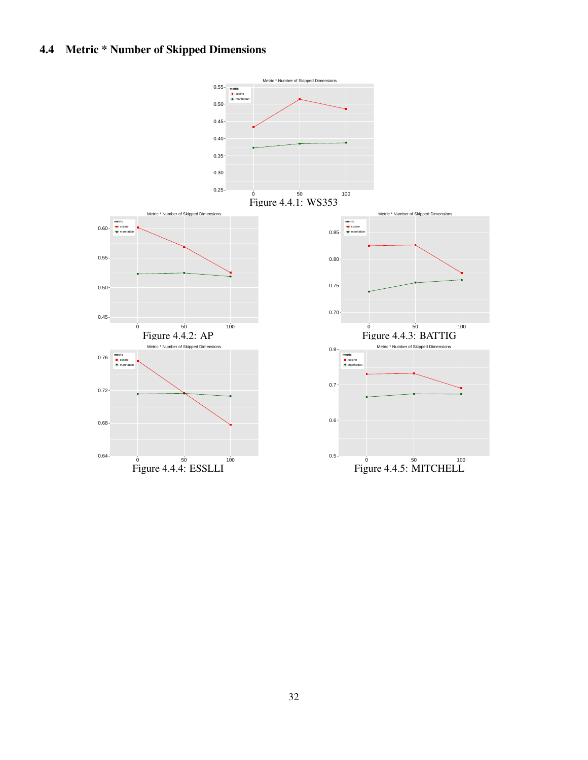## <span id="page-31-0"></span>4.4 Metric \* Number of Skipped Dimensions

![](_page_31_Figure_1.jpeg)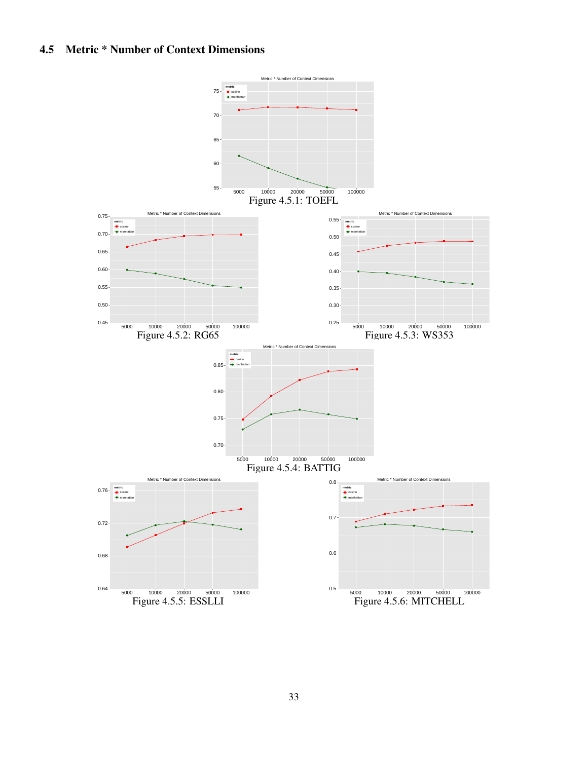### <span id="page-32-0"></span>4.5 Metric \* Number of Context Dimensions

![](_page_32_Figure_1.jpeg)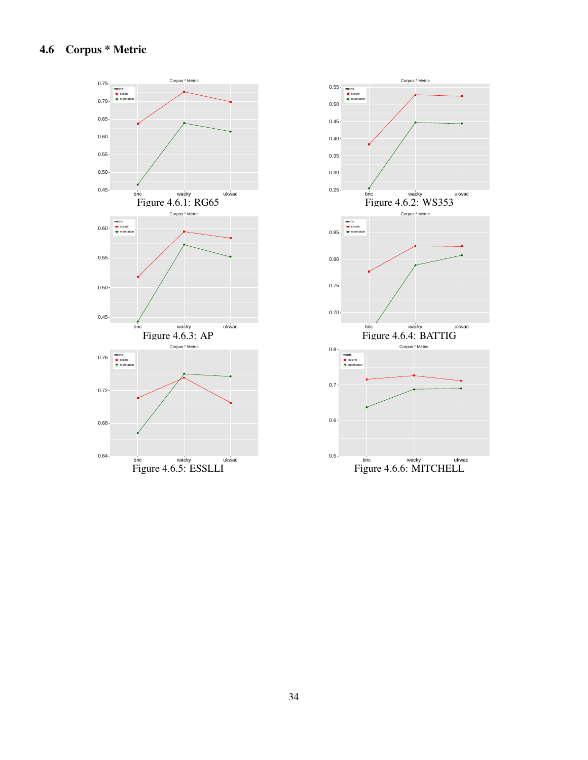## <span id="page-33-0"></span>4.6 Corpus \* Metric

![](_page_33_Figure_1.jpeg)

![](_page_33_Figure_2.jpeg)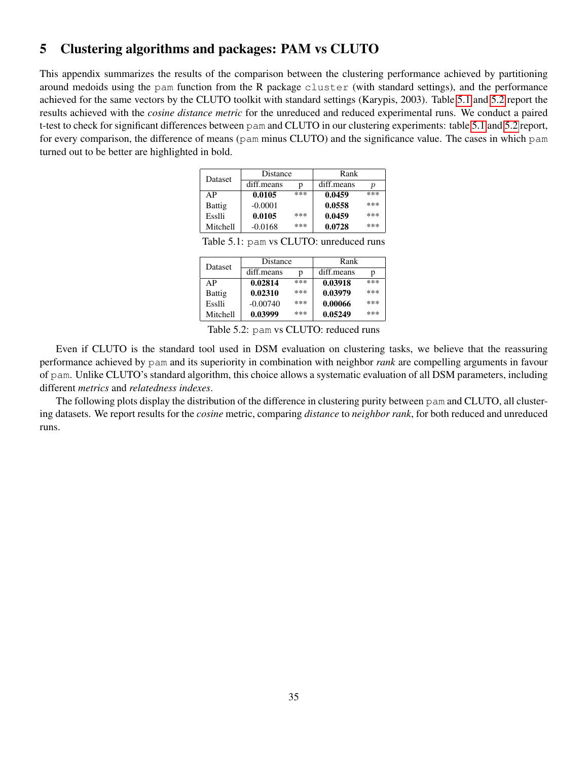### <span id="page-34-0"></span>5 Clustering algorithms and packages: PAM vs CLUTO

<span id="page-34-1"></span>This appendix summarizes the results of the comparison between the clustering performance achieved by partitioning around medoids using the pam function from the R package cluster (with standard settings), and the performance achieved for the same vectors by the CLUTO toolkit with standard settings (Karypis, 2003). Table [5.1](#page-34-1) and [5.2](#page-34-2) report the results achieved with the *cosine distance metric* for the unreduced and reduced experimental runs. We conduct a paired t-test to check for significant differences between pam and CLUTO in our clustering experiments: table [5.1](#page-34-1) and [5.2](#page-34-2) report, for every comparison, the difference of means (pam minus CLUTO) and the significance value. The cases in which pam turned out to be better are highlighted in bold.

| <b>Dataset</b> | Distance   |     | Rank       |     |
|----------------|------------|-----|------------|-----|
|                | diff.means | n   | diff.means | р   |
| AP             | 0.0105     | *** | 0.0459     | *** |
| Battig         | $-0.0001$  |     | 0.0558     | *** |
| Esslli         | 0.0105     | *** | 0.0459     | *** |
| Mitchell       | $-0.0168$  | *** | 0.0728     | *** |

Table 5.1: pam vs CLUTO: unreduced runs

| <b>Dataset</b> | Distance   |     | Rank       |     |
|----------------|------------|-----|------------|-----|
|                | diff.means | p   | diff.means | p   |
| AP             | 0.02814    | *** | 0.03918    | *** |
| Battig         | 0.02310    | *** | 0.03979    | *** |
| Esslli         | $-0.00740$ | *** | 0.00066    | *** |
| Mitchell       | 0.03999    | *** | 0.05249    | *** |

Table 5.2: pam vs CLUTO: reduced runs

<span id="page-34-2"></span>Even if CLUTO is the standard tool used in DSM evaluation on clustering tasks, we believe that the reassuring performance achieved by pam and its superiority in combination with neighbor *rank* are compelling arguments in favour of pam. Unlike CLUTO's standard algorithm, this choice allows a systematic evaluation of all DSM parameters, including different *metrics* and *relatedness indexes*.

The following plots display the distribution of the difference in clustering purity between pam and CLUTO, all clustering datasets. We report results for the *cosine* metric, comparing *distance* to *neighbor rank*, for both reduced and unreduced runs.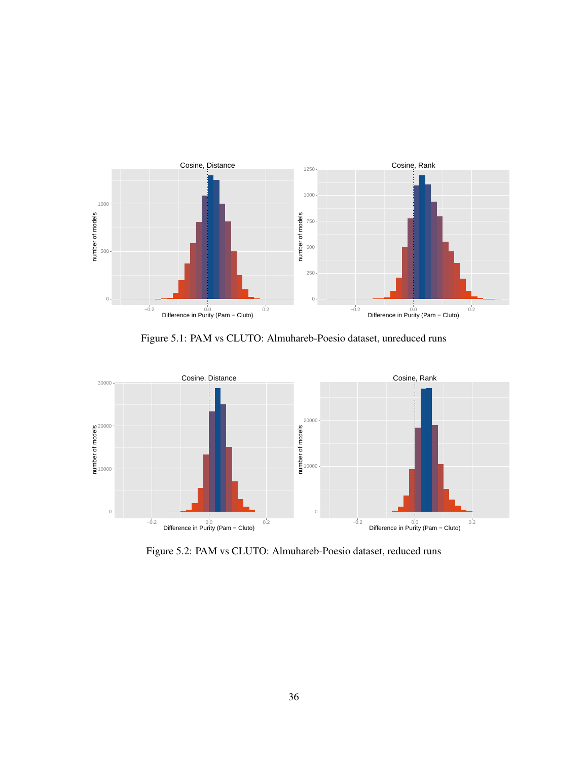![](_page_35_Figure_0.jpeg)

Figure 5.1: PAM vs CLUTO: Almuhareb-Poesio dataset, unreduced runs

![](_page_35_Figure_2.jpeg)

Figure 5.2: PAM vs CLUTO: Almuhareb-Poesio dataset, reduced runs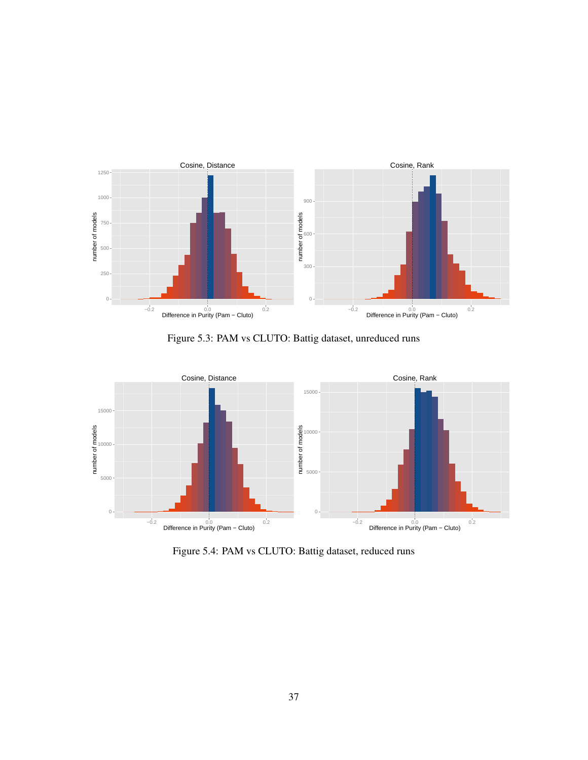![](_page_36_Figure_0.jpeg)

Figure 5.3: PAM vs CLUTO: Battig dataset, unreduced runs

![](_page_36_Figure_2.jpeg)

Figure 5.4: PAM vs CLUTO: Battig dataset, reduced runs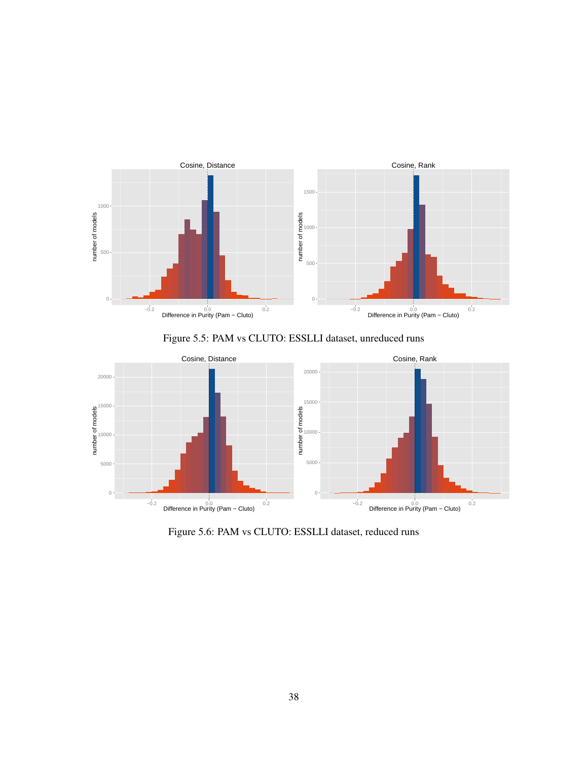![](_page_37_Figure_0.jpeg)

Figure 5.5: PAM vs CLUTO: ESSLLI dataset, unreduced runs

![](_page_37_Figure_2.jpeg)

Figure 5.6: PAM vs CLUTO: ESSLLI dataset, reduced runs